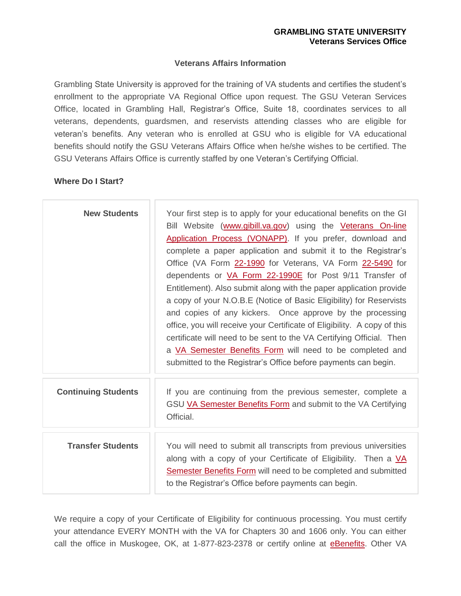### **Veterans Affairs Information**

Grambling State University is approved for the training of VA students and certifies the student's enrollment to the appropriate VA Regional Office upon request. The GSU Veteran Services Office, located in Grambling Hall, Registrar's Office, Suite 18, coordinates services to all veterans, dependents, guardsmen, and reservists attending classes who are eligible for veteran's benefits. Any veteran who is enrolled at GSU who is eligible for VA educational benefits should notify the GSU Veterans Affairs Office when he/she wishes to be certified. The GSU Veterans Affairs Office is currently staffed by one Veteran's Certifying Official.

### **Where Do I Start?**

| <b>New Students</b>        | Your first step is to apply for your educational benefits on the GI<br>Bill Website (www.gibill.va.gov) using the Veterans On-line<br>Application Process (VONAPP). If you prefer, download and<br>complete a paper application and submit it to the Registrar's<br>Office (VA Form 22-1990 for Veterans, VA Form 22-5490 for<br>dependents or VA Form 22-1990E for Post 9/11 Transfer of<br>Entitlement). Also submit along with the paper application provide<br>a copy of your N.O.B.E (Notice of Basic Eligibility) for Reservists<br>and copies of any kickers. Once approve by the processing<br>office, you will receive your Certificate of Eligibility. A copy of this<br>certificate will need to be sent to the VA Certifying Official. Then<br>a VA Semester Benefits Form will need to be completed and<br>submitted to the Registrar's Office before payments can begin. |
|----------------------------|----------------------------------------------------------------------------------------------------------------------------------------------------------------------------------------------------------------------------------------------------------------------------------------------------------------------------------------------------------------------------------------------------------------------------------------------------------------------------------------------------------------------------------------------------------------------------------------------------------------------------------------------------------------------------------------------------------------------------------------------------------------------------------------------------------------------------------------------------------------------------------------|
| <b>Continuing Students</b> | If you are continuing from the previous semester, complete a<br>GSU VA Semester Benefits Form and submit to the VA Certifying<br>Official.                                                                                                                                                                                                                                                                                                                                                                                                                                                                                                                                                                                                                                                                                                                                             |
| <b>Transfer Students</b>   | You will need to submit all transcripts from previous universities<br>along with a copy of your Certificate of Eligibility. Then a VA<br><b>Semester Benefits Form</b> will need to be completed and submitted<br>to the Registrar's Office before payments can begin.                                                                                                                                                                                                                                                                                                                                                                                                                                                                                                                                                                                                                 |

We require a copy of your Certificate of Eligibility for continuous processing. You must certify your attendance EVERY MONTH with the VA for Chapters 30 and 1606 only. You can either call the office in Muskogee, OK, at 1-877-823-2378 or certify online at [eBenefits.](https://www.ebenefits.va.gov/ebenefits/homepage) Other VA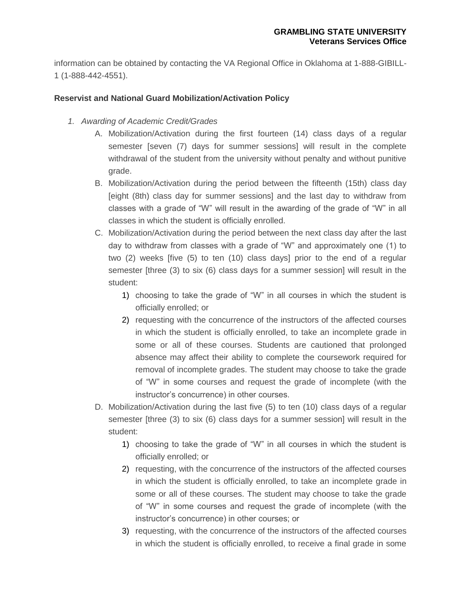information can be obtained by contacting the VA Regional Office in Oklahoma at 1-888-GIBILL-1 (1-888-442-4551).

# **Reservist and National Guard Mobilization/Activation Policy**

- *1. Awarding of Academic Credit/Grades* 
	- A. Mobilization/Activation during the first fourteen (14) class days of a regular semester [seven (7) days for summer sessions] will result in the complete withdrawal of the student from the university without penalty and without punitive grade.
	- B. Mobilization/Activation during the period between the fifteenth (15th) class day [eight (8th) class day for summer sessions] and the last day to withdraw from classes with a grade of "W" will result in the awarding of the grade of "W" in all classes in which the student is officially enrolled.
	- C. Mobilization/Activation during the period between the next class day after the last day to withdraw from classes with a grade of "W" and approximately one (1) to two (2) weeks [five (5) to ten (10) class days] prior to the end of a regular semester [three (3) to six (6) class days for a summer session] will result in the student:
		- 1) choosing to take the grade of "W" in all courses in which the student is officially enrolled; or
		- 2) requesting with the concurrence of the instructors of the affected courses in which the student is officially enrolled, to take an incomplete grade in some or all of these courses. Students are cautioned that prolonged absence may affect their ability to complete the coursework required for removal of incomplete grades. The student may choose to take the grade of "W" in some courses and request the grade of incomplete (with the instructor's concurrence) in other courses.
	- D. Mobilization/Activation during the last five (5) to ten (10) class days of a regular semester [three (3) to six (6) class days for a summer session] will result in the student:
		- 1) choosing to take the grade of "W" in all courses in which the student is officially enrolled; or
		- 2) requesting, with the concurrence of the instructors of the affected courses in which the student is officially enrolled, to take an incomplete grade in some or all of these courses. The student may choose to take the grade of "W" in some courses and request the grade of incomplete (with the instructor's concurrence) in other courses; or
		- 3) requesting, with the concurrence of the instructors of the affected courses in which the student is officially enrolled, to receive a final grade in some